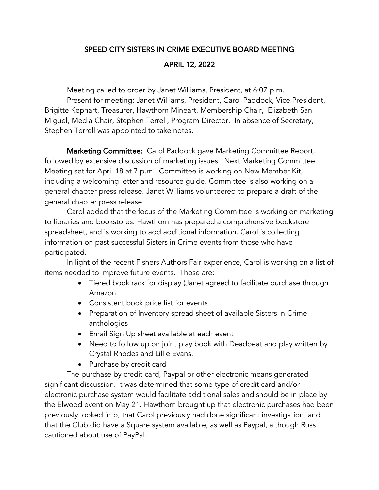## SPEED CITY SISTERS IN CRIME EXECUTIVE BOARD MEETING

## APRIL 12, 2022

Meeting called to order by Janet Williams, President, at 6:07 p.m.

Present for meeting: Janet Williams, President, Carol Paddock, Vice President, Brigitte Kephart, Treasurer, Hawthorn Mineart, Membership Chair, Elizabeth San Miguel, Media Chair, Stephen Terrell, Program Director. In absence of Secretary, Stephen Terrell was appointed to take notes.

Marketing Committee: Carol Paddock gave Marketing Committee Report, followed by extensive discussion of marketing issues. Next Marketing Committee Meeting set for April 18 at 7 p.m. Committee is working on New Member Kit, including a welcoming letter and resource guide. Committee is also working on a general chapter press release. Janet Williams volunteered to prepare a draft of the general chapter press release.

Carol added that the focus of the Marketing Committee is working on marketing to libraries and bookstores. Hawthorn has prepared a comprehensive bookstore spreadsheet, and is working to add additional information. Carol is collecting information on past successful Sisters in Crime events from those who have participated.

In light of the recent Fishers Authors Fair experience, Carol is working on a list of items needed to improve future events. Those are:

- Tiered book rack for display (Janet agreed to facilitate purchase through Amazon
- Consistent book price list for events
- Preparation of Inventory spread sheet of available Sisters in Crime anthologies
- Email Sign Up sheet available at each event
- Need to follow up on joint play book with Deadbeat and play written by Crystal Rhodes and Lillie Evans.
- Purchase by credit card

The purchase by credit card, Paypal or other electronic means generated significant discussion. It was determined that some type of credit card and/or electronic purchase system would facilitate additional sales and should be in place by the Elwood event on May 21. Hawthorn brought up that electronic purchases had been previously looked into, that Carol previously had done significant investigation, and that the Club did have a Square system available, as well as Paypal, although Russ cautioned about use of PayPal.